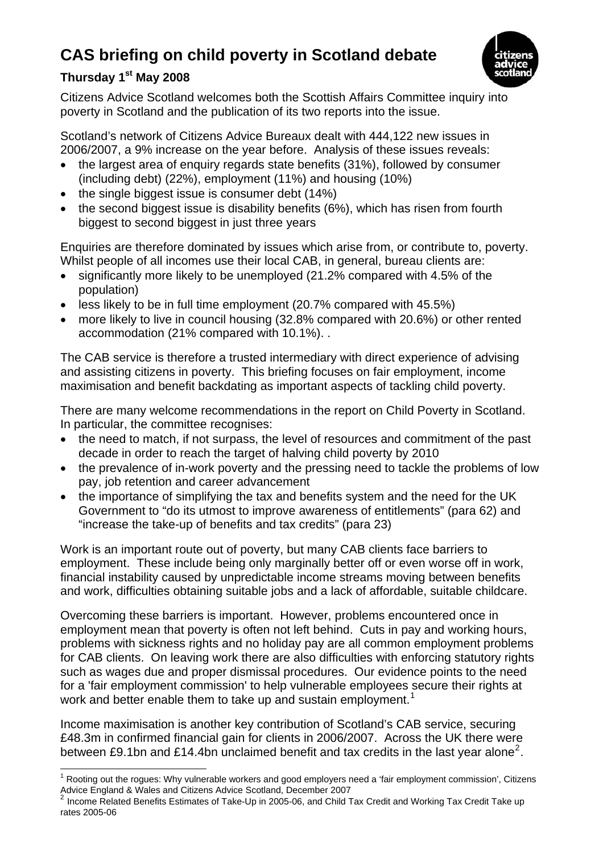## **CAS briefing on child poverty in Scotland debate**



## **Thursday 1st May 2008**

Citizens Advice Scotland welcomes both the Scottish Affairs Committee inquiry into poverty in Scotland and the publication of its two reports into the issue.

Scotland's network of Citizens Advice Bureaux dealt with 444,122 new issues in 2006/2007, a 9% increase on the year before. Analysis of these issues reveals:

- the largest area of enquiry regards state benefits (31%), followed by consumer (including debt) (22%), employment (11%) and housing (10%)
- the single biggest issue is consumer debt (14%)
- the second biggest issue is disability benefits (6%), which has risen from fourth biggest to second biggest in just three years

Enquiries are therefore dominated by issues which arise from, or contribute to, poverty. Whilst people of all incomes use their local CAB, in general, bureau clients are:

- significantly more likely to be unemployed (21.2% compared with 4.5% of the population)
- less likely to be in full time employment (20.7% compared with 45.5%)
- more likely to live in council housing (32.8% compared with 20.6%) or other rented accommodation (21% compared with 10.1%). .

The CAB service is therefore a trusted intermediary with direct experience of advising and assisting citizens in poverty. This briefing focuses on fair employment, income maximisation and benefit backdating as important aspects of tackling child poverty.

There are many welcome recommendations in the report on Child Poverty in Scotland. In particular, the committee recognises:

- the need to match, if not surpass, the level of resources and commitment of the past decade in order to reach the target of halving child poverty by 2010
- the prevalence of in-work poverty and the pressing need to tackle the problems of low pay, job retention and career advancement
- the importance of simplifying the tax and benefits system and the need for the UK Government to "do its utmost to improve awareness of entitlements" (para 62) and "increase the take-up of benefits and tax credits" (para 23)

Work is an important route out of poverty, but many CAB clients face barriers to employment. These include being only marginally better off or even worse off in work, financial instability caused by unpredictable income streams moving between benefits and work, difficulties obtaining suitable jobs and a lack of affordable, suitable childcare.

Overcoming these barriers is important. However, problems encountered once in employment mean that poverty is often not left behind. Cuts in pay and working hours, problems with sickness rights and no holiday pay are all common employment problems for CAB clients. On leaving work there are also difficulties with enforcing statutory rights such as wages due and proper dismissal procedures. Our evidence points to the need for a 'fair employment commission' to help vulnerable employees secure their rights at work and better enable them to take up and sustain employment.<sup>[1](#page-0-0)</sup>

Income maximisation is another key contribution of Scotland's CAB service, securing £48.3m in confirmed financial gain for clients in 2006/2007. Across the UK there were between £9.1bn and £14.4bn unclaimed benefit and tax credits in the last year alone<sup>[2](#page-0-1)</sup>.

<span id="page-0-0"></span>l <sup>1</sup> Rooting out the rogues: Why vulnerable workers and good employers need a 'fair employment commission', Citizens Advice England & Wales and Citizens Advice Scotland, December 2007

<span id="page-0-1"></span><sup>2</sup> Income Related Benefits Estimates of Take-Up in 2005-06, and Child Tax Credit and Working Tax Credit Take up rates 2005-06